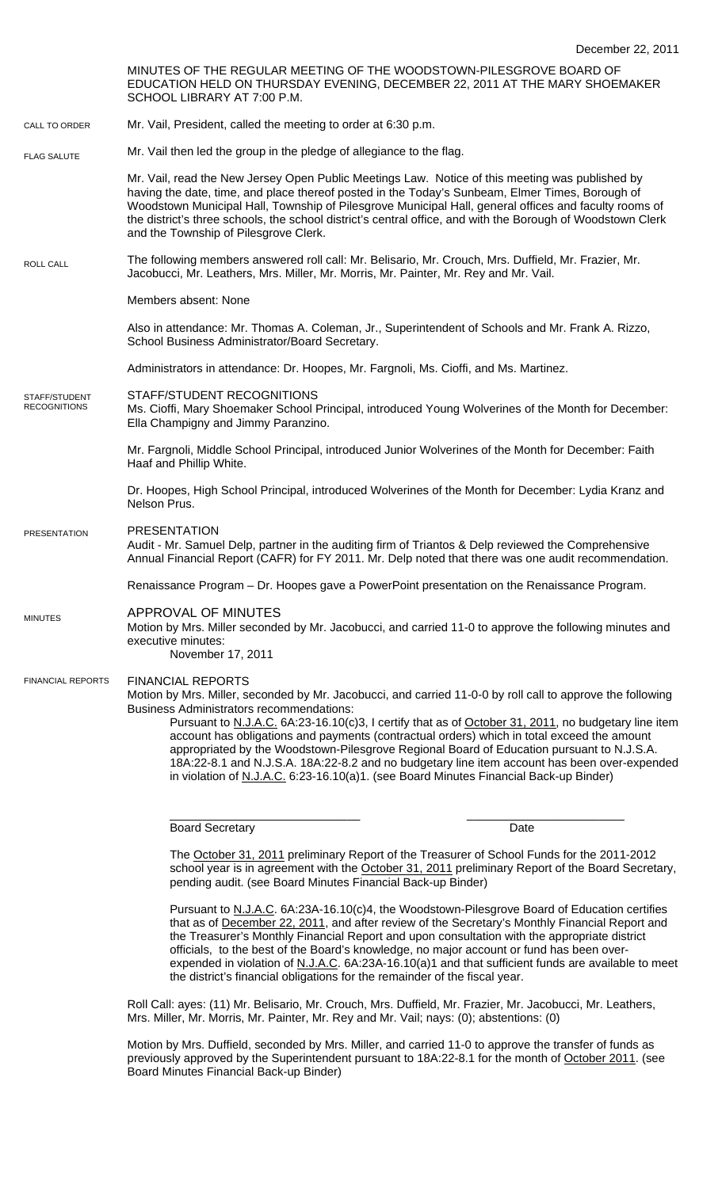MINUTES OF THE REGULAR MEETING OF THE WOODSTOWN-PILESGROVE BOARD OF EDUCATION HELD ON THURSDAY EVENING, DECEMBER 22, 2011 AT THE MARY SHOEMAKER SCHOOL LIBRARY AT 7:00 P.M. Mr. Vail, President, called the meeting to order at 6:30 p.m. Mr. Vail then led the group in the pledge of allegiance to the flag. Mr. Vail, read the New Jersey Open Public Meetings Law. Notice of this meeting was published by having the date, time, and place thereof posted in the Today's Sunbeam, Elmer Times, Borough of Woodstown Municipal Hall, Township of Pilesgrove Municipal Hall, general offices and faculty rooms of the district's three schools, the school district's central office, and with the Borough of Woodstown Clerk and the Township of Pilesgrove Clerk. The following members answered roll call: Mr. Belisario, Mr. Crouch, Mrs. Duffield, Mr. Frazier, Mr. Jacobucci, Mr. Leathers, Mrs. Miller, Mr. Morris, Mr. Painter, Mr. Rey and Mr. Vail. Members absent: None Also in attendance: Mr. Thomas A. Coleman, Jr., Superintendent of Schools and Mr. Frank A. Rizzo, School Business Administrator/Board Secretary. Administrators in attendance: Dr. Hoopes, Mr. Fargnoli, Ms. Cioffi, and Ms. Martinez. STAFF/STUDENT RECOGNITIONS Ms. Cioffi, Mary Shoemaker School Principal, introduced Young Wolverines of the Month for December: Ella Champigny and Jimmy Paranzino. Mr. Fargnoli, Middle School Principal, introduced Junior Wolverines of the Month for December: Faith Haaf and Phillip White. Dr. Hoopes, High School Principal, introduced Wolverines of the Month for December: Lydia Kranz and Nelson Prus. PRESENTATION Audit - Mr. Samuel Delp, partner in the auditing firm of Triantos & Delp reviewed the Comprehensive Annual Financial Report (CAFR) for FY 2011. Mr. Delp noted that there was one audit recommendation. Renaissance Program – Dr. Hoopes gave a PowerPoint presentation on the Renaissance Program. APPROVAL OF MINUTES Motion by Mrs. Miller seconded by Mr. Jacobucci, and carried 11-0 to approve the following minutes and executive minutes: November 17, 2011 FINANCIAL REPORTS Motion by Mrs. Miller, seconded by Mr. Jacobucci, and carried 11-0-0 by roll call to approve the following Business Administrators recommendations: Pursuant to N.J.A.C. 6A:23-16.10(c)3, I certify that as of October 31, 2011, no budgetary line item account has obligations and payments (contractual orders) which in total exceed the amount appropriated by the Woodstown-Pilesgrove Regional Board of Education pursuant to N.J.S.A. 18A:22-8.1 and N.J.S.A. 18A:22-8.2 and no budgetary line item account has been over-expended in violation of N.J.A.C. 6:23-16.10(a)1. (see Board Minutes Financial Back-up Binder) \_\_\_\_\_\_\_\_\_\_\_\_\_\_\_\_\_\_\_\_\_\_\_\_\_\_\_\_\_ \_\_\_\_\_\_\_\_\_\_\_\_\_\_\_\_\_\_\_\_\_\_\_\_ Board Secretary **Date** The October 31, 2011 preliminary Report of the Treasurer of School Funds for the 2011-2012 school year is in agreement with the October 31, 2011 preliminary Report of the Board Secretary, pending audit. (see Board Minutes Financial Back-up Binder) Pursuant to N.J.A.C. 6A:23A-16.10(c)4, the Woodstown-Pilesgrove Board of Education certifies that as of December 22, 2011, and after review of the Secretary's Monthly Financial Report and CALL TO ORDER ROLL CALL FLAG SALUTE MINUTES FINANCIAL REPORTS STAFF/STUDENT **RECOGNITIONS PRESENTATION** 

the Treasurer's Monthly Financial Report and upon consultation with the appropriate district officials, to the best of the Board's knowledge, no major account or fund has been overexpended in violation of N.J.A.C. 6A:23A-16.10(a)1 and that sufficient funds are available to meet the district's financial obligations for the remainder of the fiscal year.

Roll Call: ayes: (11) Mr. Belisario, Mr. Crouch, Mrs. Duffield, Mr. Frazier, Mr. Jacobucci, Mr. Leathers, Mrs. Miller, Mr. Morris, Mr. Painter, Mr. Rey and Mr. Vail; nays: (0); abstentions: (0)

Motion by Mrs. Duffield, seconded by Mrs. Miller, and carried 11-0 to approve the transfer of funds as previously approved by the Superintendent pursuant to 18A:22-8.1 for the month of October 2011. (see Board Minutes Financial Back-up Binder)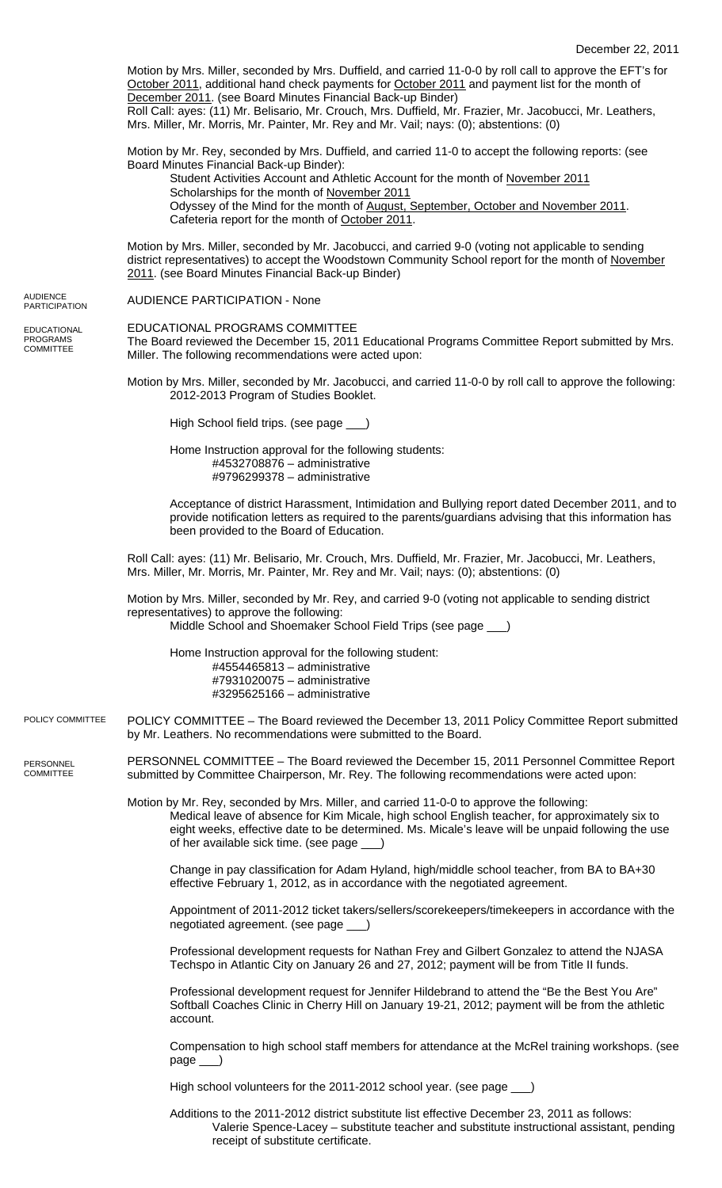|                                                           | December 22, 2011                                                                                                                                                                                                                                                                                                                                                                                                                                                                    |
|-----------------------------------------------------------|--------------------------------------------------------------------------------------------------------------------------------------------------------------------------------------------------------------------------------------------------------------------------------------------------------------------------------------------------------------------------------------------------------------------------------------------------------------------------------------|
|                                                           | Motion by Mrs. Miller, seconded by Mrs. Duffield, and carried 11-0-0 by roll call to approve the EFT's for<br>October 2011, additional hand check payments for October 2011 and payment list for the month of<br>December 2011. (see Board Minutes Financial Back-up Binder)<br>Roll Call: ayes: (11) Mr. Belisario, Mr. Crouch, Mrs. Duffield, Mr. Frazier, Mr. Jacobucci, Mr. Leathers,<br>Mrs. Miller, Mr. Morris, Mr. Painter, Mr. Rey and Mr. Vail; nays: (0); abstentions: (0) |
|                                                           | Motion by Mr. Rey, seconded by Mrs. Duffield, and carried 11-0 to accept the following reports: (see                                                                                                                                                                                                                                                                                                                                                                                 |
|                                                           | Board Minutes Financial Back-up Binder):<br>Student Activities Account and Athletic Account for the month of November 2011                                                                                                                                                                                                                                                                                                                                                           |
|                                                           | Scholarships for the month of November 2011<br>Odyssey of the Mind for the month of August, September, October and November 2011.<br>Cafeteria report for the month of October 2011.                                                                                                                                                                                                                                                                                                 |
|                                                           | Motion by Mrs. Miller, seconded by Mr. Jacobucci, and carried 9-0 (voting not applicable to sending<br>district representatives) to accept the Woodstown Community School report for the month of November<br>2011. (see Board Minutes Financial Back-up Binder)                                                                                                                                                                                                                     |
| <b>AUDIENCE</b><br><b>PARTICIPATION</b>                   | <b>AUDIENCE PARTICIPATION - None</b>                                                                                                                                                                                                                                                                                                                                                                                                                                                 |
| <b>EDUCATIONAL</b><br><b>PROGRAMS</b><br><b>COMMITTEE</b> | EDUCATIONAL PROGRAMS COMMITTEE<br>The Board reviewed the December 15, 2011 Educational Programs Committee Report submitted by Mrs.<br>Miller. The following recommendations were acted upon:                                                                                                                                                                                                                                                                                         |
|                                                           | Motion by Mrs. Miller, seconded by Mr. Jacobucci, and carried 11-0-0 by roll call to approve the following:<br>2012-2013 Program of Studies Booklet.                                                                                                                                                                                                                                                                                                                                 |
|                                                           | High School field trips. (see page __)                                                                                                                                                                                                                                                                                                                                                                                                                                               |
|                                                           | Home Instruction approval for the following students:<br>#4532708876 - administrative<br>#9796299378 - administrative                                                                                                                                                                                                                                                                                                                                                                |
|                                                           | Acceptance of district Harassment, Intimidation and Bullying report dated December 2011, and to<br>provide notification letters as required to the parents/guardians advising that this information has<br>been provided to the Board of Education.                                                                                                                                                                                                                                  |
|                                                           | Roll Call: ayes: (11) Mr. Belisario, Mr. Crouch, Mrs. Duffield, Mr. Frazier, Mr. Jacobucci, Mr. Leathers,<br>Mrs. Miller, Mr. Morris, Mr. Painter, Mr. Rey and Mr. Vail; nays: (0); abstentions: (0)                                                                                                                                                                                                                                                                                 |
|                                                           | Motion by Mrs. Miller, seconded by Mr. Rey, and carried 9-0 (voting not applicable to sending district<br>representatives) to approve the following:<br>Middle School and Shoemaker School Field Trips (see page __)                                                                                                                                                                                                                                                                 |
|                                                           | Home Instruction approval for the following student:<br>#4554465813 - administrative<br>#7931020075 - administrative<br>#3295625166 - administrative                                                                                                                                                                                                                                                                                                                                 |
| POLICY COMMITTEE                                          | POLICY COMMITTEE - The Board reviewed the December 13, 2011 Policy Committee Report submitted<br>by Mr. Leathers. No recommendations were submitted to the Board.                                                                                                                                                                                                                                                                                                                    |
| PERSONNEL<br><b>COMMITTEE</b>                             | PERSONNEL COMMITTEE - The Board reviewed the December 15, 2011 Personnel Committee Report<br>submitted by Committee Chairperson, Mr. Rey. The following recommendations were acted upon:                                                                                                                                                                                                                                                                                             |
|                                                           | Motion by Mr. Rey, seconded by Mrs. Miller, and carried 11-0-0 to approve the following:<br>Medical leave of absence for Kim Micale, high school English teacher, for approximately six to<br>eight weeks, effective date to be determined. Ms. Micale's leave will be unpaid following the use<br>of her available sick time. (see page __)                                                                                                                                         |
|                                                           | Change in pay classification for Adam Hyland, high/middle school teacher, from BA to BA+30<br>effective February 1, 2012, as in accordance with the negotiated agreement.                                                                                                                                                                                                                                                                                                            |
|                                                           | Appointment of 2011-2012 ticket takers/sellers/scorekeepers/timekeepers in accordance with the<br>negotiated agreement. (see page ___)                                                                                                                                                                                                                                                                                                                                               |
|                                                           | Professional development requests for Nathan Frey and Gilbert Gonzalez to attend the NJASA<br>Techspo in Atlantic City on January 26 and 27, 2012; payment will be from Title II funds.                                                                                                                                                                                                                                                                                              |
|                                                           | Professional development request for Jennifer Hildebrand to attend the "Be the Best You Are"<br>Softball Coaches Clinic in Cherry Hill on January 19-21, 2012; payment will be from the athletic<br>account.                                                                                                                                                                                                                                                                         |
|                                                           | Compensation to high school staff members for attendance at the McRel training workshops. (see<br>$page$ <sub>___</sub>                                                                                                                                                                                                                                                                                                                                                              |
|                                                           | High school volunteers for the 2011-2012 school year. (see page __)                                                                                                                                                                                                                                                                                                                                                                                                                  |
|                                                           | Additions to the 2011-2012 district substitute list effective December 23, 2011 as follows:<br>Valerie Spence-Lacey - substitute teacher and substitute instructional assistant, pending<br>receipt of substitute certificate.                                                                                                                                                                                                                                                       |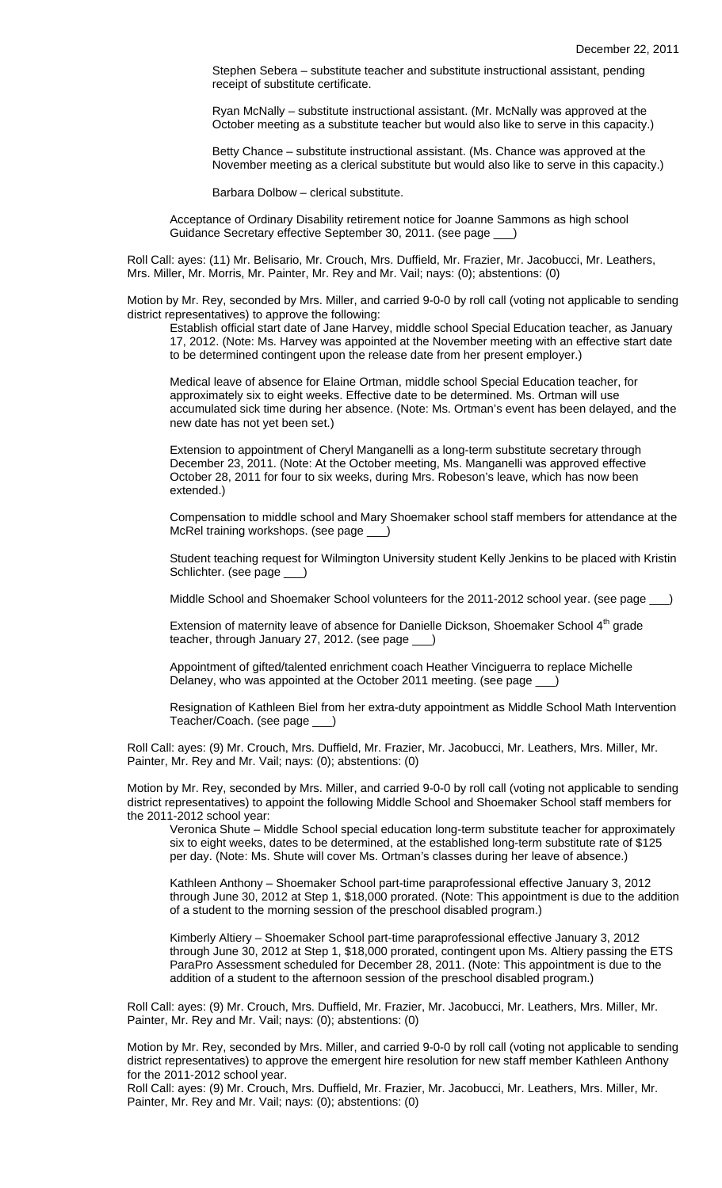Stephen Sebera – substitute teacher and substitute instructional assistant, pending receipt of substitute certificate.

Ryan McNally – substitute instructional assistant. (Mr. McNally was approved at the October meeting as a substitute teacher but would also like to serve in this capacity.)

Betty Chance – substitute instructional assistant. (Ms. Chance was approved at the November meeting as a clerical substitute but would also like to serve in this capacity.)

Barbara Dolbow – clerical substitute.

Acceptance of Ordinary Disability retirement notice for Joanne Sammons as high school Guidance Secretary effective September 30, 2011. (see page

Roll Call: ayes: (11) Mr. Belisario, Mr. Crouch, Mrs. Duffield, Mr. Frazier, Mr. Jacobucci, Mr. Leathers, Mrs. Miller, Mr. Morris, Mr. Painter, Mr. Rey and Mr. Vail; nays: (0); abstentions: (0)

Motion by Mr. Rey, seconded by Mrs. Miller, and carried 9-0-0 by roll call (voting not applicable to sending district representatives) to approve the following:

Establish official start date of Jane Harvey, middle school Special Education teacher, as January 17, 2012. (Note: Ms. Harvey was appointed at the November meeting with an effective start date to be determined contingent upon the release date from her present employer.)

Medical leave of absence for Elaine Ortman, middle school Special Education teacher, for approximately six to eight weeks. Effective date to be determined. Ms. Ortman will use accumulated sick time during her absence. (Note: Ms. Ortman's event has been delayed, and the new date has not yet been set.)

Extension to appointment of Cheryl Manganelli as a long-term substitute secretary through December 23, 2011. (Note: At the October meeting, Ms. Manganelli was approved effective October 28, 2011 for four to six weeks, during Mrs. Robeson's leave, which has now been extended.)

Compensation to middle school and Mary Shoemaker school staff members for attendance at the McRel training workshops. (see page \_\_\_)

Student teaching request for Wilmington University student Kelly Jenkins to be placed with Kristin Schlichter. (see page \_\_\_)

Middle School and Shoemaker School volunteers for the 2011-2012 school year. (see page \_

Extension of maternity leave of absence for Danielle Dickson, Shoemaker School  $4<sup>th</sup>$  grade teacher, through January 27, 2012. (see page \_\_\_)

Appointment of gifted/talented enrichment coach Heather Vinciguerra to replace Michelle Delaney, who was appointed at the October 2011 meeting. (see page

Resignation of Kathleen Biel from her extra-duty appointment as Middle School Math Intervention Teacher/Coach. (see page \_\_\_)

Roll Call: ayes: (9) Mr. Crouch, Mrs. Duffield, Mr. Frazier, Mr. Jacobucci, Mr. Leathers, Mrs. Miller, Mr. Painter, Mr. Rey and Mr. Vail; nays: (0); abstentions: (0)

Motion by Mr. Rey, seconded by Mrs. Miller, and carried 9-0-0 by roll call (voting not applicable to sending district representatives) to appoint the following Middle School and Shoemaker School staff members for the 2011-2012 school year:

Veronica Shute – Middle School special education long-term substitute teacher for approximately six to eight weeks, dates to be determined, at the established long-term substitute rate of \$125 per day. (Note: Ms. Shute will cover Ms. Ortman's classes during her leave of absence.)

Kathleen Anthony – Shoemaker School part-time paraprofessional effective January 3, 2012 through June 30, 2012 at Step 1, \$18,000 prorated. (Note: This appointment is due to the addition of a student to the morning session of the preschool disabled program.)

Kimberly Altiery – Shoemaker School part-time paraprofessional effective January 3, 2012 through June 30, 2012 at Step 1, \$18,000 prorated, contingent upon Ms. Altiery passing the ETS ParaPro Assessment scheduled for December 28, 2011. (Note: This appointment is due to the addition of a student to the afternoon session of the preschool disabled program.)

Roll Call: ayes: (9) Mr. Crouch, Mrs. Duffield, Mr. Frazier, Mr. Jacobucci, Mr. Leathers, Mrs. Miller, Mr. Painter, Mr. Rey and Mr. Vail; nays: (0); abstentions: (0)

Motion by Mr. Rey, seconded by Mrs. Miller, and carried 9-0-0 by roll call (voting not applicable to sending district representatives) to approve the emergent hire resolution for new staff member Kathleen Anthony for the 2011-2012 school year.

Roll Call: ayes: (9) Mr. Crouch, Mrs. Duffield, Mr. Frazier, Mr. Jacobucci, Mr. Leathers, Mrs. Miller, Mr. Painter, Mr. Rey and Mr. Vail; nays: (0); abstentions: (0)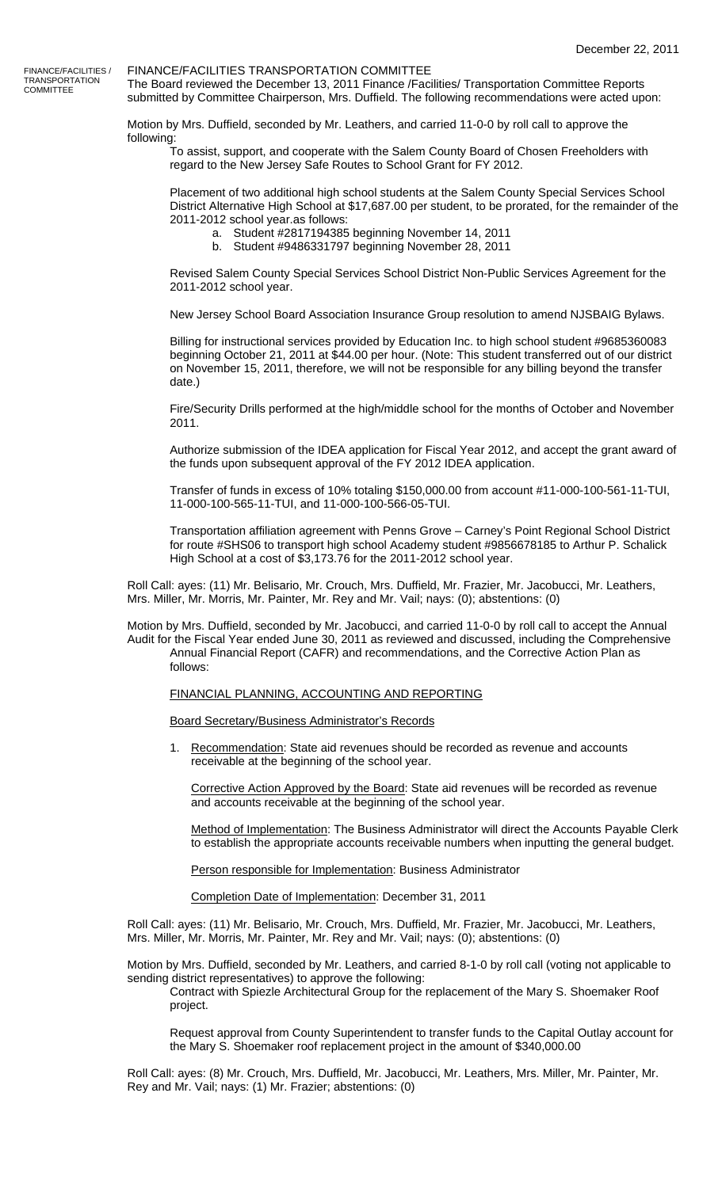FINANCE/FACILITIES / **TRANSPORTATION COMMITTEE** 

# FINANCE/FACILITIES TRANSPORTATION COMMITTEE

The Board reviewed the December 13, 2011 Finance /Facilities/ Transportation Committee Reports submitted by Committee Chairperson, Mrs. Duffield. The following recommendations were acted upon:

Motion by Mrs. Duffield, seconded by Mr. Leathers, and carried 11-0-0 by roll call to approve the following:

To assist, support, and cooperate with the Salem County Board of Chosen Freeholders with regard to the New Jersey Safe Routes to School Grant for FY 2012.

Placement of two additional high school students at the Salem County Special Services School District Alternative High School at \$17,687.00 per student, to be prorated, for the remainder of the 2011-2012 school year.as follows:

- a. Student #2817194385 beginning November 14, 2011
- b. Student #9486331797 beginning November 28, 2011

Revised Salem County Special Services School District Non-Public Services Agreement for the 2011-2012 school year.

New Jersey School Board Association Insurance Group resolution to amend NJSBAIG Bylaws.

Billing for instructional services provided by Education Inc. to high school student #9685360083 beginning October 21, 2011 at \$44.00 per hour. (Note: This student transferred out of our district on November 15, 2011, therefore, we will not be responsible for any billing beyond the transfer date.)

Fire/Security Drills performed at the high/middle school for the months of October and November 2011.

Authorize submission of the IDEA application for Fiscal Year 2012, and accept the grant award of the funds upon subsequent approval of the FY 2012 IDEA application.

Transfer of funds in excess of 10% totaling \$150,000.00 from account #11-000-100-561-11-TUI, 11-000-100-565-11-TUI, and 11-000-100-566-05-TUI.

Transportation affiliation agreement with Penns Grove – Carney's Point Regional School District for route #SHS06 to transport high school Academy student #9856678185 to Arthur P. Schalick High School at a cost of \$3,173.76 for the 2011-2012 school year.

Roll Call: ayes: (11) Mr. Belisario, Mr. Crouch, Mrs. Duffield, Mr. Frazier, Mr. Jacobucci, Mr. Leathers, Mrs. Miller, Mr. Morris, Mr. Painter, Mr. Rey and Mr. Vail; nays: (0); abstentions: (0)

Motion by Mrs. Duffield, seconded by Mr. Jacobucci, and carried 11-0-0 by roll call to accept the Annual Audit for the Fiscal Year ended June 30, 2011 as reviewed and discussed, including the Comprehensive Annual Financial Report (CAFR) and recommendations, and the Corrective Action Plan as follows:

# FINANCIAL PLANNING, ACCOUNTING AND REPORTING

Board Secretary/Business Administrator's Records

1. Recommendation: State aid revenues should be recorded as revenue and accounts receivable at the beginning of the school year.

Corrective Action Approved by the Board: State aid revenues will be recorded as revenue and accounts receivable at the beginning of the school year.

Method of Implementation: The Business Administrator will direct the Accounts Payable Clerk to establish the appropriate accounts receivable numbers when inputting the general budget.

Person responsible for Implementation: Business Administrator

Completion Date of Implementation: December 31, 2011

Roll Call: ayes: (11) Mr. Belisario, Mr. Crouch, Mrs. Duffield, Mr. Frazier, Mr. Jacobucci, Mr. Leathers, Mrs. Miller, Mr. Morris, Mr. Painter, Mr. Rey and Mr. Vail; nays: (0); abstentions: (0)

Motion by Mrs. Duffield, seconded by Mr. Leathers, and carried 8-1-0 by roll call (voting not applicable to sending district representatives) to approve the following:

Contract with Spiezle Architectural Group for the replacement of the Mary S. Shoemaker Roof project.

Request approval from County Superintendent to transfer funds to the Capital Outlay account for the Mary S. Shoemaker roof replacement project in the amount of \$340,000.00

Roll Call: ayes: (8) Mr. Crouch, Mrs. Duffield, Mr. Jacobucci, Mr. Leathers, Mrs. Miller, Mr. Painter, Mr. Rey and Mr. Vail; nays: (1) Mr. Frazier; abstentions: (0)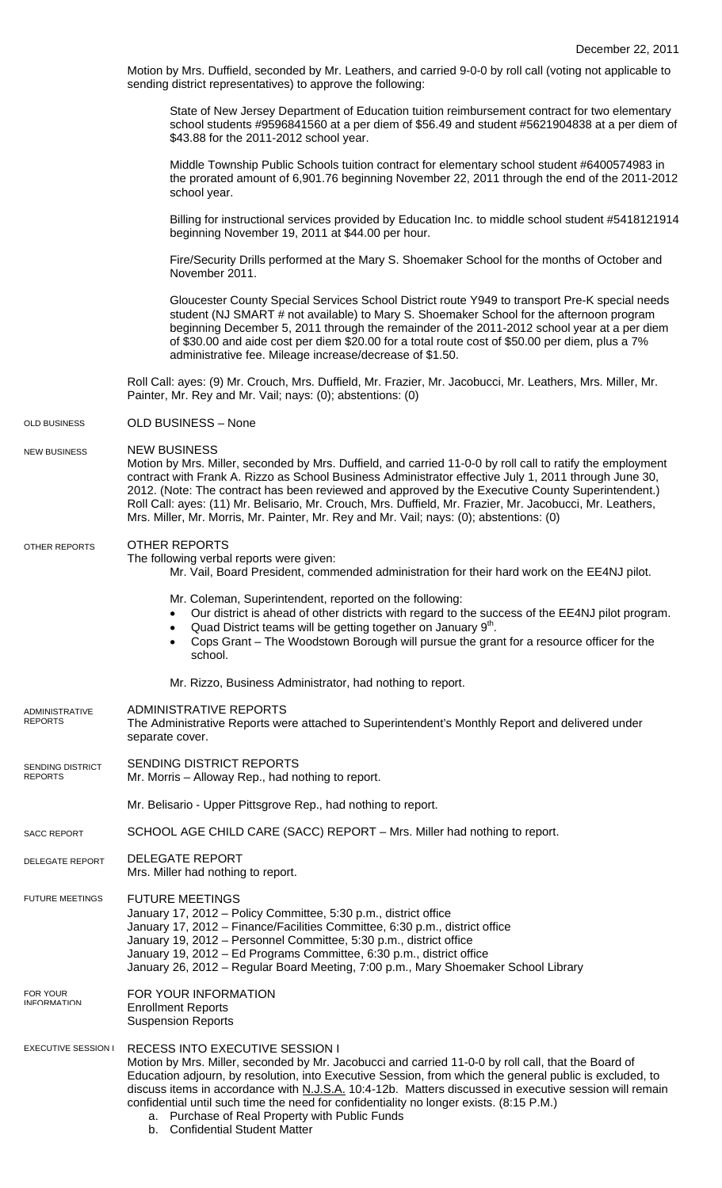Motion by Mrs. Duffield, seconded by Mr. Leathers, and carried 9-0-0 by roll call (voting not applicable to sending district representatives) to approve the following:

State of New Jersey Department of Education tuition reimbursement contract for two elementary school students #9596841560 at a per diem of \$56.49 and student #5621904838 at a per diem of \$43.88 for the 2011-2012 school year.

Middle Township Public Schools tuition contract for elementary school student #6400574983 in the prorated amount of 6,901.76 beginning November 22, 2011 through the end of the 2011-2012 school year.

Billing for instructional services provided by Education Inc. to middle school student #5418121914 beginning November 19, 2011 at \$44.00 per hour.

Fire/Security Drills performed at the Mary S. Shoemaker School for the months of October and November 2011.

Gloucester County Special Services School District route Y949 to transport Pre-K special needs student (NJ SMART # not available) to Mary S. Shoemaker School for the afternoon program beginning December 5, 2011 through the remainder of the 2011-2012 school year at a per diem of \$30.00 and aide cost per diem \$20.00 for a total route cost of \$50.00 per diem, plus a 7% administrative fee. Mileage increase/decrease of \$1.50.

Roll Call: ayes: (9) Mr. Crouch, Mrs. Duffield, Mr. Frazier, Mr. Jacobucci, Mr. Leathers, Mrs. Miller, Mr. Painter, Mr. Rey and Mr. Vail; nays: (0); abstentions: (0)

### OLD BUSINESS – None OLD BUSINESS

### NEW BUSINESS NEW BUSINESS

Motion by Mrs. Miller, seconded by Mrs. Duffield, and carried 11-0-0 by roll call to ratify the employment contract with Frank A. Rizzo as School Business Administrator effective July 1, 2011 through June 30, 2012. (Note: The contract has been reviewed and approved by the Executive County Superintendent.) Roll Call: ayes: (11) Mr. Belisario, Mr. Crouch, Mrs. Duffield, Mr. Frazier, Mr. Jacobucci, Mr. Leathers, Mrs. Miller, Mr. Morris, Mr. Painter, Mr. Rey and Mr. Vail; nays: (0); abstentions: (0)

### OTHER REPORTS OTHER REPORTS

The following verbal reports were given:

Mr. Vail, Board President, commended administration for their hard work on the EE4NJ pilot.

Mr. Coleman, Superintendent, reported on the following:

- Our district is ahead of other districts with regard to the success of the EE4NJ pilot program.
- Quad District teams will be getting together on January 9<sup>th</sup>.
- Cops Grant The Woodstown Borough will pursue the grant for a resource officer for the school.
- Mr. Rizzo, Business Administrator, had nothing to report.

## ADMINISTRATIVE REPORTS ADMINISTRATIVE

- The Administrative Reports were attached to Superintendent's Monthly Report and delivered under separate cover. REPORTS
- SENDING DISTRICT REPORTS SENDING DISTRICT REPORTS
	- Mr. Morris Alloway Rep., had nothing to report.

# Mr. Belisario - Upper Pittsgrove Rep., had nothing to report.

# SCHOOL AGE CHILD CARE (SACC) REPORT – Mrs. Miller had nothing to report. SACC REPORT

# DELEGATE REPORT Mrs. Miller had nothing to report. DELEGATE REPORT

# FUTURE MEETINGS January 17, 2012 – Policy Committee, 5:30 p.m., district office FUTURE MEETINGS

- January 17, 2012 Finance/Facilities Committee, 6:30 p.m., district office
- January 19, 2012 Personnel Committee, 5:30 p.m., district office

January 19, 2012 – Ed Programs Committee, 6:30 p.m., district office

January 26, 2012 – Regular Board Meeting, 7:00 p.m., Mary Shoemaker School Library

### FOR YOUR INFORMATION Enrollment Reports FOR YOUR INFORMATION

Suspension Reports

## EXECUTIVE SESSION I RECESS INTO EXECUTIVE SESSION I

Motion by Mrs. Miller, seconded by Mr. Jacobucci and carried 11-0-0 by roll call, that the Board of Education adjourn, by resolution, into Executive Session, from which the general public is excluded, to discuss items in accordance with N.J.S.A. 10:4-12b. Matters discussed in executive session will remain confidential until such time the need for confidentiality no longer exists. (8:15 P.M.)

- a. Purchase of Real Property with Public Funds
- b. Confidential Student Matter